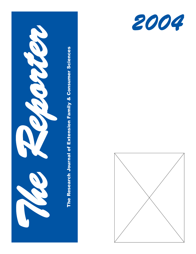



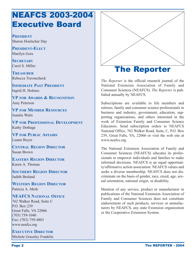## NEAFCS 2003-2004 Executive Board

**PRESIDENT** Sharon Hoelscher Day

**PRESIDENT-ELECT** Marilyn Gore

**SECRETARY** Carol S. Miller

**TREASURER** Rebecca Travnecheck

**IMMEDIATE PAST PRESIDENT** Ingrid H. Holmes

**VP FOR AWARDS & RECOGNITION** Amy Peterson

**VP FOR MEMBER RESOURCES** Juanita Waits

**VP FOR PROFESSIONAL DEVELOPMENT** Kathy Dothage

**VP FOR PUBLIC AFFAIRS** Luann Boyer

**CENTRAL REGION DIRECTOR** Susan Brown

**EASTERN REGION DIRECTOR** Karen A. Thomas

**SOUTHERN REGION DIRECTOR** Judith Breland

**WESTERN REGION DIRECTOR** Patricia A. Merk

### **NEAFCS NATIONAL OFFICE**

762 Walker Road, Suite C P.O. Box 239 Great Falls, VA 22066 (703) 759-1040 Fax: (703) 759-4801 www.neafcs.org

**EXECUTIVE DIRECTOR**

Michele Grassley Franklin



*The Reporter* is the official research journal of the National Extension Association of Family and Consumer Sciences (NEAFCS). *The Reporter* is published annually by NEAFCS.

Subscriptions are available to life members and retirees, family and consumer science professionals in business and industry, government, education, supporting organizations, and others interested in the work of Extension Family and Consumer Science Educators. Send subscription orders to NEAFCS National Office, 762 Walker Road, Suite, C, P.O. Box 239, Great Falls, VA, 22066 or visit the web site at www.neafcs.org.

The National Extension Association of Family and Consumer Sciences (NEAFCS) educates its professionals to empower individuals and families to make informed decisions. NEAFCS is an equal opportunity/affirmative action association. NEAFCS values and seeks a diverse membership. NEAFCS does not discriminate on the basis of gender, race, creed, age, sexual orientation, national origin, or disability.

Mention of any service, product or manufacturer in publications of the National Extension Association of Family and Consumer Sciences does not constitute endorsement of such products, services or amnufacturers by NEAFCS, any state Extension organization or the Cooperative Extension System.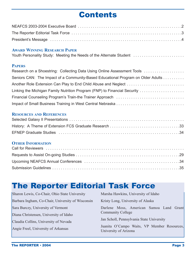# Contents

## **AWARD WINNING RESEARCH PAPER**

|  |  | Youth Personality Study: Meeting the Needs of the Alternate Student |  |
|--|--|---------------------------------------------------------------------|--|
|--|--|---------------------------------------------------------------------|--|

#### **PAPERS**

| Research on a Shoestring: Collecting Data Using Online Assessment Tools          |
|----------------------------------------------------------------------------------|
| Seniors CAN: The Impact of a Community-Based Educational Program on Older Adults |
|                                                                                  |
| Linking the Michigan Family Nutrition Program (FNP) to Financial Security        |
|                                                                                  |
|                                                                                  |

#### **RESOURCES AND REFERENCES**

## **OTHER INFORMATION**

# The Reporter Editorial Task Force

| Sharon Lewis, Co-Chair, Ohio State University     | Marsha Hawkins, University of Idaho                                  |
|---------------------------------------------------|----------------------------------------------------------------------|
| Barbara Ingham, Co-Chair, University of Wisconsin | Kristy Long, University of Alaska                                    |
| Sara Burczy, University of Vermont                | Darlene Moss, American Samoa Land Grant                              |
| Diana Christensen, University of Idaho            | <b>Community College</b>                                             |
| Claudia Collins, University of Nevada             | Jan Scholl, Pennsylvania State University                            |
| Angie Freel, University of Arkansas               | Juanita O'Campo Waits, VP Member Resources,<br>University of Arizona |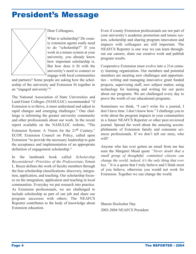## President's Message



Dear Colleagues,

What is scholarship? Do county extension agents really need to do "scholarship?" If you work in a tenure system at your university, you already know how important scholarship is. But how does it fit with the university's need to connect or engage with local communities

and partners? Some people are asking how the scholarship of the university and Extension fit together in an "engaged university"?

The National Association of State Universities and Land-Grant Colleges (NASULGC) recommended "if Extension is to thrive, it must understand and adjust to rapid changes and emerging challenges." One challenge is informing the greater university community and other professionals about our work. In the recent report available on the NASULGC website, "The Extension System: A Vision for the 21<sup>st</sup> Century," ECOP, Extension Council on Policy, called upon Extension "to provide the necessary leadership to gain the acceptance and implementation of an appropriate definition of engagement scholarship."

In the landmark book called *Scholarship Reconsidered—Priorities of the Professoriate*, Ernest L. Boyer defines the work of faculty members through the four scholarship classifications: discovery, integration, application, and teaching. Our scholarship focuses on the integration, application and teaching in local communities. Everyday we put research into practice. As Extension professionals, we are challenged to include scholarship as part of our job and share our program successes with others. The NEAFCS Reporter contributes to the body of knowledge about Extension education.

Even if county Extension professionals are not part of your university's academic promotion and tenure system, scholarship and sharing program innovation and impacts with colleagues are still important. The NEAFCS Reporter is one way we can learn throughout our careers, share our creative work and publish program results.

Cooperative Extension must evolve into a 21st century learning organization. Our members and potential members are meeting new challenges and opportunities - writing and managing innovative grant funded projects, supervising staff, new subject matter, using technology for learning and writing for our peers about our programs. We are challenged every day to prove the worth of our educational programs.

Sometimes we think, "I can't write for a journal, I don't have time. I don't know how." I challenge you to write about the program impacts in your communities in a future NEAFCS Reporter or other peer-reviewed journal. Spread the word about the amazing accomplishments of Extension family and consumer sciences professionals. If we don't tell our story, who will?

Anyone who has ever gotten an email from me has seen the Margaret Mead quote *"Never doubt that a small group of thoughtful, committed citizens can change the world, indeed, it's the only thing that ever has."* It is a quote that I truly believe and I think most of you believe, otherwise you would not work for Extension. Together we can change the world.

Sharon Hoelscher Day 2003-2004 NEAFCS President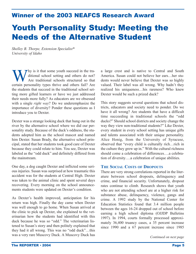## Winner of the 2003 NEAFCS Research Award

# Youth Personality Study: Meeting the Needs of the Alternative Student

*Shelley B. Thorpe, Extension Specialist\* University of Idaho*

 $\nabla$  hy is it that some youth succeed in the traditional school setting and others do not? Are traditional schools structured so that certain personality types thrive and others fail? Are the students that succeed in the traditional school setting more gifted learners or have we just addressed their needs more fully? As educators are we obsessed with a single *right way*? Do we underemphasize the importance of diversity? Ponder these questions as I introduce you to Dexter.

Dexter was a strange looking duck that hung out in the river by the alternative school where we did our personality study. Because of the duck's oddness, the students adopted him as the school mascot and named him Dexter. Susan Brady, the alternative school principal, stated that her students took good care of Dexter because they could relate to him. You see, Dexter was labeled as the "odd duck" and definitely differed from the mainstream.

One day, a dog caught Dexter and inflicted some serious injuries. Susan was surprised at how traumatic this accident was for the students at Central High. Dexter was taken to the animal clinic and spent several days recovering. Every morning on the school announcements students were updated on Dexter's condition.

As Dexter's health improved, anticipation for his return was high. Finally the day came when Dexter was well enough to go home. When Susan arrived at the clinic to pick up Dexter, she explained to the veterinarian how the students had identified with this duck because he was so "odd." The veterinarian listened to Susan's story and then politely explained that they had it all wrong. This was no "odd duck"…this was a very rare Muscovy Duck. A Muscovy Duck has

a large crest and is native to Central and South America. Susan could not believe her ears…her students would never believe that Dexter was so highly valued. Their label was all wrong. Why hadn't they realized his uniqueness…his rareness? Who knew Dexter would be such a prized duck?

This story suggests several questions that school districts, educators and society need to ponder. Do we have it all wrong? Are students that have a difficult time succeeding in traditional schools the "odd ducks?" Should school districts and society change the way they view non-traditional students?" Like Dexter, every student in every school setting has unique gifts and talents associated with their unique personality. Alice Honig, from the University of Syracuse, observed that "every child is culturally rich…rich in the culture they grew up in." With the cultural richness should come a celebration of differences….a celebration of diversity….a celebration of unique abilities.

#### **THE SOCIAL COSTS OF DROPOUTS**

There are very strong correlations reported in the literature between school dropouts, delinquency and crime, and financial security. Unfortunately, dropout rates continue to climb. Research shows that youth who are not attending school are at a higher risk for substance abuse, delinquency, violence, gangs and crime. A 1992 study by the National Center for Education Statistics found that 3.4 million people between the ages 16-24 dropped out of school before earning a high school diploma (OJJDP Bulletins 1997). In 1994, courts formally processed approximately 36,400 truancy cases, a 35 percent increase since 1990 and a 67 percent increase since 1985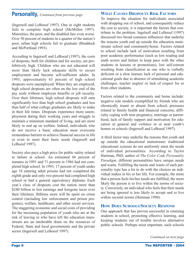(Ingersoll and LeBoeuf 1997). One in eight students fails to complete high school (McMillen 1997). Minorities, the poor, and the disabled fare even worse. Over 50 percent of students in a quarter of the nation's poor, urban high schools fail to graduate (Braddock and McPortland 1993).

According to Ingersoll and LeBoeuf (1997), the costs of dropouts, both for children and for society, are prohibitively high. Children who are not educated will more than likely lack adequate skills to secure employment and become self-sufficient adults. In 1993, approximately 63 percent of high school dropouts were unemployed. When they are employed, high school dropouts are often on the low end of the pay scale without employee benefits or job security. Over their lifetimes, high school dropouts will earn significantly less than high school graduates and less than half of what college graduates are likely to make in their life times. Dropouts experience more unemployment during their working years and struggle to maintain a minimum standard of living, and are more likely to end up on welfare. Indeed, individuals who do not receive a basic education must overcome tremendous barriers to achieve financial success in life or even to meet their basic needs (Ingersoll and LeBoeuf 1997).

Society also pays a high price for public safety related to failure at school. An estimated 66 percent of inmates in 1991 and 71 percent in 1986 had not completed high school. In 1993, 17 percent of youth under age 18 entering adult prisons had not completed the eighth grade and only two percent had completed high school or had a general equivalency diploma. Each year's class of dropouts cost the nation more than \$240 billion in lost earnings and foregone taxes over their lifetimes. Billions more will be spent on crime control (including law enforcement and prison programs), welfare, healthcare, and other social services. The staggering economic and social costs of providing for the increasing population of youth who are at the risk of leaving or who have left the education mainstream are an intolerable drain on the resources of Federal, State and local governments and the private sector (Ingersoll and LeBoeuf 1997).

#### **WHAT CAUSES DROPOUTS RISK FACTORS**

To improve the situation for individuals associated with dropping out of school, and consequently reduce the cost to society, it is important the factors that contribute to the problem. Ingelsoll and LeBoeuf (1997) discussed two broad common influences that underlie the reasons youth end up outside the education mainstream school and community/home. Factors related to school include lack of motivation resulting from poor academic performance (such as low reading and math scores and failure to keep pace with the other students in lessons or promotions), low self-esteem resulting from classification as one who is verbally deficient or a slow learner, lack of personal and educational goals due to absence of stimulating academic challenges, teacher neglect or lack of respect for or from other students.

Factors related to the community and home include: negative role models exemplified by friends who are chronically truant or absent from school, pressures related to family health and financial concerns, difficulty coping with teen pregnancy, marriage or parenthood, lack of family support and motivation for education in general and violence in or near youth's homes or schools (Ingersoll and LeBoeuf 1997).

A third factor may underlie the reasons that youth end up outside the educational mainstream: traditional educational systems do not uniformly meet the needs of individual personalities. According to Taylor Hartman, PhD, author of *The Color Code Personality Paradigm*, different personalities have unique needs and wants. Fulfilling the needs and wants of each personality type has a lot to do with the choices an individual makes in his or her life. For example, the more that a person feels his/her needs are fulfilled, the more likely the person is to live within the norms of society. Conversely, an individual who feels that their needs are being ignored is less likely to accept and to live within societal norms (Hartman 1998).

#### **HOW DOES SCHOOLS/SOCIETY RESPOND**

One approach that has proven successful in retaining students in school, promoting effective learning, and keeping students out of trouble involves alternative public schools. Perhaps most important, such schools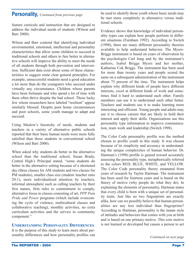feature curricula and instruction that are designed to address the individual needs of students (Wilson and Barr 2000).

Wilson and Barr contend that identifying individual environmental, emotional, intellectual and personality characteristics that allow some children to succeed in traditional schools and others to fare better in alternative schools will improve the ability to meet the needs of all students through both prevention and intervention. Sufficient data exist about some of these characteristics to suggest some clear general principles. For example, unsuccessful students need a good education a lot more than do the youngsters who succeed under virtually any circumstance. Children whose parents have been fortunate and who spend a lot of time with them often thrive despite the bad school. Those lucky few whom researchers have labeled "resilient" appear similarly blessed. Despite poor home circumstances and poor schools, some youth manage to adapt and succeed.

Using Maslow's hierarchy of needs, students and teachers in a variety of alternative public schools reported that their basic human needs were more fully satisfied than those students in conventional school (Wilson and Barr 2000).

When asked why students do better in the alternative school than the traditional school, Susan Brady, Central High's Principal stated, "some students do better in the alternative setting because of a shortened day (three classes for AM students and two classes for PM students), smaller class size (student /teacher ratio 20:1), more individualized attention by teachers, informal atmosphere such as calling teachers by their first names, firm rules to commitment to comply, alternative focus in classes consisting of art, *PPP Pain Pride and Power* programs (which include overcoming the cycle of violence, multicultural classes and collaborative teaching), monthly activities, no extra curriculum activities and the service to community component."

#### **UNDERSTANDING PERSONALITY DIFFERENCES**

It is the purpose of this study to learn more about personality differences and how personality profiles can be used to identify those youth whose basic needs may be met more completely in alternative versus traditional schools.

Evidence shows that knowledge of individual personality types can explain how people perform in different situations (Furnham 1992). According to Switch (1998), there are many different personality theories available to help understand behavior. The Myers-Briggs instrument is based on years of observation by the psychologist Carl Jung and by the instrument's authors, Isabel Briggs Myers and her mother, Katharine Cok Briggs. The instrument has been used for more than twenty years and people scored the same on a subsequent administration of the instrument about 75 percent of the time. The instrument helps explain why different kinds of people have different interests, excel at different kinds of work and sometimes find it hard to understand each other. Family members can use it to understand each other better. Teachers and students use it to make learning more interesting and efficient. Young people and adults may use it to choose careers that are likely to hold their interest and apply their skills. Organizations use this personality type information to improve communication, team work and leadership (Switch 1998).

The Color Code personality profile was the method chosen to profile youth in this study. It was chosen because of its simplicity and accuracy in understanding the unique complexities of human behavior. Dr. Hartman's (1998) profile is geared toward accurately assessing the personality type, metaphorically referred to the colors RED, BLUE, WHITE, and YELLOW. The Color Code personality theory emanated from years of research by Taylor Hartman. The instrument has been used for fourteen years and is based on the theory of motive (why people do what they do). In explaining the elements of personality, Hartman states that every child is born with a unique set of personality traits. Just like no two fingerprints are exactly alike, how can we possibly believe that human personalities are any less individual than fingerprints? According to Hartman, personality is the innate style of attitudes and behaviors that comes with you at birth and is based on one primary motive. This core motive is not learned or developed but causes a person to act

*Continued on next page*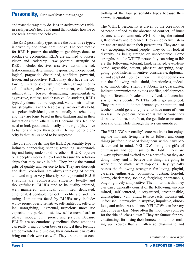and react the way they do. It is an active process within each person's heart and mind that dictates how he or she feels, thinks and behaves.

The RED personality type, as are the other three types, is driven by one innate core motive. The core motive for RED is power, the ability to get things done, to produce or accomplish. REDs are inclined to possess vision and leadership. Raw potential strengths of REDs include: decisive, assertive, action-oriented, task-dominant, determined, responsible, independent, logical, pragmatic, disciplined, confident, powerful, leader, and productive. REDs may also have the following limitations: selfish, insensitive, arrogant, critical of others, always right, impatient, calculating, intimidating, bossy, demanding, argumentative, aggressive, tactless, and obsessive. As students, REDs typically demand to be respected, value their intellectual strengths, take the lead easily, are normally bold, outspoken individuals, can potentially be rebellious, and they are logic based in their thinking and in their interactions with others. RED personalities feel the need to look good academically, to be right (they love to banter and argue their point). The number one priority is that REDs need to be respected.

The core motive driving the BLUE personality type is intimacy connecting, sharing, revealing, understanding and being understood by others. BLUEs operate on a deeply emotional level and treasure the relationships that they make in life. They bring the natural gifts of quality and service to life. They are thorough and detail conscious, are always thinking of others, and tend to give very liberally. Some potential BLUE strengths are: compassion, sincerity, loyalty and thoughtfulness. BLUEs tend to be quality-oriented, well mannered, analytical, committed, dedicated, emotional, dependable, respectful, deliberate, and nurturing. Limitations faced by BLUEs may include: worry prone, overly sensitive, self-righteous, self-critical, unforgiving, judgmental, suspicious, unrealistic expectations, perfectionist, low self-esteem, hard to please, moody, guilt prone, and jealous. Because BLUEs are so emotionally inclined, those emotions can really bring out their best, or sadly, if their feelings are convoluted and unclear, their emotions can really bring out their worst as well. They are the most controlling of the four personality types because their control is emotional.

The WHITE personality is driven by the core motive of peace defined as the absence of conflict, of inner balance and contentment. WHITEs bring the natural gifts of clarity and tolerance. They are objective listeners and are unbiased in their perceptions. They are also very accepting, tolerant people. They do not look at diversity as being strange or unacceptable. Some strengths that the WHITE personality can bring to life are the following: tolerant, kind, satisfied, even-tempered, agreeable, patient, pleasant, accepting, easygoing, good listener, inventive, considerate, diplomatic, and adaptable. Some of their limitations could contain the following traits: timid, directionless, indecisive, unmotivated, silently stubborn, lazy, lackluster, indirect communicator, avoids conflict, self-deprecating, indifferent, ambivalent, uninvolved, and unenthusiastic. As students, WHITEs often go unnoticed. They are not loud, do not demand your attention, and teachers would generally prefer to have more of them in class. The problem, however, is that because they do not tend to rock the boat, the get little or no attention and often slide through the system unnoticed.

The YELLOW personality's core motive is fun-enjoying the moment, living life to its fullest, and doing things just for the sake of doing them, without any particular end in mind. YELLOWs bring the gifts of enthusiasm and optimism to the table. They are always upbeat and excited to be a part of what they are doing. They tend to believe that things are going to work out, no matter what happens. They typically posses the following strengths: fun-loving, playful, carefree, enthusiastic, optimistic, trusting, hopeful, happy, charismatic, sociable, forgiving, spontaneous, outgoing, lively and positive. The limitations that they can carry generally consist of the following: uncommitted, self-centered, disorganized, irresponsible, undisciplined, vain, afraid to face facts, inconsistent, unfocused, interruptive, disruptive, impulsive, obnoxious, and naïve. As students, YELLOWs can be very disruptive in class. More often than not, they compete for the title of "class clown." They are famous for procrastinating, for losing their homework, and for making up excuses that are often so charismatic and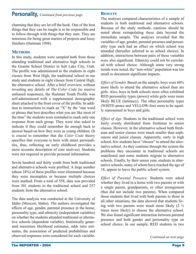charming that they are let off the hook. One of the best things that they can be taught is to be responsible and to follow-through with things that they start. They are notorious for being great starters of projects and lousy finishers (Hartman 1998).

#### **METHODS**

In this study, students were sampled both from those attending traditional and alternative high schools in the Granite School District in Salt Lake City, Utah. The profile was administered to the students in eight classes from West High, the traditional school in our study and students in eight classes from Central High, the alternative school. After a brief overview, without revealing any details of *The Color Code* (to receive unbiased responses), the Hartman Youth Profile was self-administered with a supplemental demographic sheet attached to the front cover of the profile. In addition to instructions to mark an "X" by the "one word or phrase that best describes what you are like most of the time" the students were reminded to mark only one response from each group. They were also asked to indicate if they could remember far enough back to answer based on how they were as young children. (It is crucial to remember that the *Color Code* theory specifies that everyone is born with intact personalities, thus, reflecting on early childhood provides a more accurate description of core motives). Students were not required to provide personal information.

Seven hundred and thirty youth from both traditional and alternative schools were profiled. A large number (about 24%) of these profiles were eliminated because they were incomplete or because multiple choices were marked. From a total of 558, data was provided from 301 students in the traditional school and 257 students from the alternative school.

The data analysis was conducted at the University of Idaho (Moscow, Idaho). The authors investigated the effects of age, gender, parental presence in the home, personality type, and ethnicity (independent variables) on whether the students attended traditional or alternative schools (dependent variable). Statistically generated maximum likelihood estimates, odds ratio estimates, the association of predicted probabilities and observed responses were considered for each variable.

#### **RESULTS**

The analyses compared characteristics of a sample of students in both traditional and alternative schools. Because of the study methods, cautions should be noted about extrapolating these data beyond the immediate sample. The analyses revealed that the variables of age, gender, parental presence and personality type each had an effect on which school was attended (hereafter referred to as school choice). In addition, interactions between pairs of these variables were also significant. Ethnicity could not be correlated with school choice. Although some very strong trends were noted, the "non-white" population was too small to document significant impacts.

*Effect of Gender.* Based on the sample, boys were 60% more likely to attend the alternative school than are girls. Also, boys in both schools more often exhibited RED personality types (power) while girls were more likely BLUE (intimacy). The other personality types (WHITE-peace and YELLOW-fun) seem to be equally represented in boys and girls.

*Effect of Age.* Students in the traditional school were fairly evenly distributed from freshman to senior classes. However, in the alternative school both freshman and senior classes were much smaller than sophomore and junior classes. Apparently, early in high school, few students have "chosen" to attend the alternative school. As they continue through the system the problems they encounter in traditional schools are manifested and some students migrate to alternative schools. Finally, by their senior year, students in alternative schools, many of whom have reached the age of 18, appear to leave the public school system.

*Effect of Parental Presence.* Students were asked whether they lived in a home with two parents or with a single parent, grandparents, or other arrangement (that did not include two parents). When compared those students that lived with both parents to those in all other situations, the data showed that students living with two parents were much more likely (2 ½ times more likely) to choose the alternative school. We also found significant interaction between parental presence and both gender and personality type on school choice. In our sample, RED students in two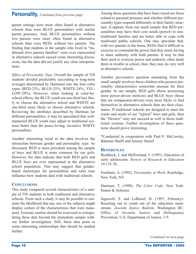parent settings were more often found in alternative schools than were BLUE personalities with similar parent presence. And, BLUE personalities without two parents were more often found in alternative schools than were REDs without two parents. The finding that students in the sample who lived in "traditional (two parent) families" were over represented in alternative schools caused some interesting discussions, but the data did not justify any clear interpretations.

*Effect of Personality Type.* Overall the sample of 558 students divided predictably (according to long-term averages determined by Hartman) into the four color types (RED-23%; BLUE-25%; WHITE-24%; YEL-LOW-28%). However, when looking at color-byschool effects, the BLUE youth are one-third less likely to choose the alternative school and WHITE are one-third more likely to choose alternative schools. Reviewing the attributes described by Hartman for different personalities, it may be speculated that wellmannered BLUE youth may adjust to traditional systems better than the peace-loving, inventive WHITE personalities.

Another interesting trend in the data involves the interaction between gender and personality type. As discussed, RED is more prevalent among the sample of boys and BLUE is more common for our girls. However, the data indicate that both RED girls and BLUE boys are over represented in the alternative school population. This may suggest that genderbased stereotypes for personalities and roles may influence how students deal with traditional schools.

#### **CONCLUSIONS**

This study compared several characteristics of a sample of 558 students in both traditional and alternative schools. From such a study, it may be possible to estimate the likelihood that any one of the subjects might display certain of the characteristics that were measured. Extreme caution should be exercised in extrapolating these data beyond the immediate sample without further investigation. Still, these data point to some interesting relationships that should be studied further.

Among those questions that have been raised are those related to parental presence and whether different personality types respond differently to their family structure. It appears from our small sample that RED personalities may have their core needs (power) in nontraditional families and are better able to cope with traditional public schools. One may speculate that, with two parents in the home, REDs find it difficult to exercise or command the power that they need, having to share authority with both parents. It may be that their need to exercise power and authority often lands them in trouble in school, thus, they may do very well in alternative schools.

Another provocative question emanating from the small sample involves those children who possess personality characteristics somewhat unusual for their gender. In our sample, RED girls (those possessing more power-driven motives) and BLUE boys (those that are compassion-driven) were more likely to find themselves in alternative schools than are their classmates. If traditional schools are designed to meet the wants and needs of our "typical" boys and girls, then the "Dexters" may not succeed as well in those traditional systems. Further investigation of these questions should prove interesting.

\*Conducted in cooperation with Paul F. McCawley, Bahman Shaffi and Jeremy Daniel

#### **REFERENCES**

Braddock, J. and McPortland, J. (1993). Education of early adolescents. *Review of Research in Education* 19:135-70.

Furnham, A. (1992). *Personality at Work*. Routledge, New York, NY.

Hartman, T. (1998). *The Color Code*. New York: Simon & Schuster.

Ingersoll, S. and LeBoeuf, D. (1997, February). Reaching out to youth out of the education mainstream*. Juvenile Justice Bulletin*. Washington DC: Office of Juvenile Justice and Delinquency Prevention, U.S. Department of Justice, 1-9.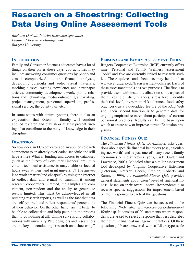# Research on a Shoestring: Collecting Data Using Online Assessment Tools

*Barbara O'Neill, Interim Extension Specialist Financial Resource Management Rutgers University*

#### **INTRODUCTION**

Family and Consumer Sciences educators have a lot of things on their plates these days. Job activities may include: answering consumer questions by phone-and e-mail, computerized diet and financial analyses, developing curricula and audio visual materials, teaching classes, writing newsletter and newspaper articles, community development work, public relations and networking, media outreach, grant writing, project management, personnel supervision, professional service, the county fair, etc.

In some states with tenure systems, there is also an expectation that Extension faculty will conduct applied research and publish or at least present findings that contribute to the body of knowledge in their discipline.

#### **DISCUSSION**

So how does an FCS educator add an applied research component to an already overloaded schedule and still have a life? What if funding and access to databases (such as the Survey of Consumer Finances) are limited and technical assistance is unavailable or located hours away at their land grant university? The answer is to work smarter (and cheaper!) by using the Internet to collect data and e-mail to transmit it among research cooperators. Granted, the samples are convenient, non-random and the ability to generalize results limited. This must be acknowledged in all resulting research reports, as well as the fact that data are self-reported and reflect respondents' perceptions of their behavior. On the other hand, isn't it better to be able to collect data and help people in the process than to do nothing at all? Online surveys and collaborations with university Web designers and researchers are the keys to conducting "research on a shoestring."

#### **PERSONAL AND FAMILY ASSESSMENT TOOLS**

Rutgers Cooperative Extension (RCE) currently offers nine "Personal and Family Wellness Assessment Tools" and five are currently linked to research studies. These quizzes and checklists may be found at www.rce.rutgers.edu/fcs/assessmenttools.asp. Each of these assessment tools has two purposes. The first is to provide users with instant feedback on some aspect of their lives (e.g., diet, finances, stress level, identity theft risk level, investment risk tolerance, food safety practices), as a value-added feature of the RCE Web site. Their second function is to generate data for ongoing empirical research about participants' current behavioral practices. Results can be the basis upon which to create new or improve current Extension programs.

#### **FINANCIAL FITNESS QUIZ**

The *Financial Fitness Quiz,* for example*,* asks questions about specific financial behaviors (e.g., calculating net worth) and is just one of many recent family economics online surveys (Lyons, Cude, Gutter and Lawrence, 2003). Modeled after a similar assessment tool developed by Virginia Cooperative Extension (Peterson, Kratzer, Leech, Stadler, Roberts and Sumner, 1999), the *Financial Fitness Quiz* provides general statements about users' level of financial fitness, based on their overall score. Respondents also receive specific suggestions for improvement based on their responses to each of the questions.

The Financial Fitness Quiz can be accessed at the following Web site: www.rce.rutgers.edu/money/ ffquiz.asp. It consists of 20 statements where respondents are asked to select a response that best describes their current financial management practices. Of these questions, 19 are answered with a Likert-type scale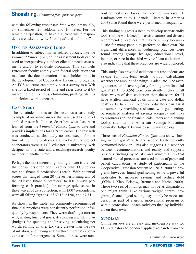## **Shoestring,** *Continued from previous page*

with the following responses:  $5=$  always,  $4=$  usually,  $3=$  sometimes,  $2=$  seldom, and  $1=$  never. For the remaining question, "I have a current will," respondents are asked to write 5 for "yes" and 1 for "no."

#### **ON-LINE ASSESSMENT TOOLS**

In addition to subject matter related quizzes, like the *Financial Fitness Quiz*, online assessment tools can be used to inexpensively conduct clientele needs assessments and/or to evaluate programs. This can help Extension faculty comply with federal legislation that mandates the documentation of stakeholder input in the development of Cooperative Extension programs. An FCS educator can simply post a survey to a Web site for a fixed period of time and refer users to it by marketing the link, thus, eliminating printing, stamps and clerical work expenses.

#### **CASE STUDY**

The remainder of this article describes a case study example of an online survey that was used to conduct applied research. It also describes what has been learned from the *Financial Fitness Quiz* to date and provides implications for FCS educators. The research was conducted at absolutely no cost except for the time of the three professionals involved. The project cooperators were a FCS educator, a university Web designer in one state and a teaching/research faculty member in another state

Perhaps the most interesting finding to date is the fact that consumers often don't practice what FCS educators and financial professionals teach. With potential scores that ranged from 20 (never performing any of the 20 listed financial practices) to 100 (always performing each practice), the average quiz scores in three waves of data collection, with 1,007 respondents, were all failing "grades" of 69.18, 64.98, and 67.34.

As shown in the Table, six commonly recommended financial practices were consistently performed infrequently by respondents. They were: drafting a current will, writing financial goals, developing a written plan (budget) for spending and/or saving, calculating net worth, earning an after-tax yield greater than the rate of inflation, and having at least three months' expenses set aside for emergencies. Some of these were nonroutine tasks or tasks that require analyses. A Bankrate.com study (Financial Literacy in America 2003) also found these were performed infrequently.

This finding suggests a need to develop user-friendly tools (online worksheets) to assist learners and discuss recommended practices that may be simply too unrealistic for many people to perform on their own. No significant differences in budgeting practices were found among groups by age, educational level, income, or race in the third wave of data collection also indicating that these practices are widely ignored.

This study also provided evidence that respondents are saving for long-term goals without calculating whether the amount of savings is adequate. The average scores for "I save regularly for long-term financial goals" (3.31 to 3.56) were consistently higher in all three waves of data collection than the score for "I have written financial goals with a date and dollar cost" (2.12 to 2.32). Extension educators can assist consumers by providing assistance with goal-setting, personalized analyses of savings adequacy and links to resources (online financial calculators and planning tools), such as the American Savings Education Council's Ballpark Estimate (see www.asec.org).

Three sets of *Financial Fitness Quiz* data show "having written goals" to be the second least-frequently performed behavior. This also suggests a disconnect between recommendations and reality and supports previous findings by Muske and Winter (1999) that "stored mental processes" are used in lieu of paper and pencil calculations. A study of participants in the Cooperative Extension System MONEY 2000 ™ program, however, found goal setting to be a powerful motivator to increase savings and reduce debt (O'Neill, Xiao, Bristow, Brennan and Kerbel 2000). These two sets of findings may not be as disparate as one might think. Like various weight control programs, financial goal-setting may simply be more successful as part of a group motivational program or with a professional coach (advisor) than by individuals on their own.

#### **SUMMARY**

Online surveys are an easy and inexpensive way for FCS educators to conduct applied research from the

*Continued on next page*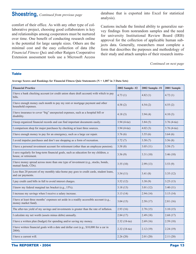## **Shoestring,** *Continued from previous page*

comfort of their office. As with any other type of collaborative project, choosing good collaborators is key and relationships among cooperators must be nurtured over time. One benefit of conducting research online is the potential for large sample sizes. Others are the minimal cost and the easy collection of data (the *Financial Fitness Quiz* and other Rutgers Cooperative Extension assessment tools use a Microsoft Access database that is exported into Excel for statistical analysis).

Cautions include the limited ability to generalize survey findings from nonrandom samples and the need for university Institutional Review Board (IRB) approval for the collection of applicable human subjects data. Generally, researchers must complete a form that describes the purposes and methodology of their study and attach samples of their research instru-

*Continued on next page*

#### **Table**

**Average Scores and Rankings for Financial Fitness Quiz Statements (N = 1,007 in 3 Data Sets)**

| <b>Financial Practice</b>                                                                                      | 2002 Sample-#2 | 2002 Sample-#1 | 2001 Sample    |
|----------------------------------------------------------------------------------------------------------------|----------------|----------------|----------------|
| I have a bank checking account (or credit union share draft account) with which to pay<br>bills.               | 4.73(1)        | 4.82(1)        | 4.72(1)        |
| I have enough money each month to pay my rent or mortgage payment and other<br>household expenses.             | 4.58(2)        | 4.54(2)        | 4.55(2)        |
| I have insurance to cover "big" unexpected expenses, such as a hospital bill or<br>disability.                 | 4.18(3)        | 3.94(4)        | 4.10(3)        |
| I keep organized financial records and can find important documents easily.                                    | 3.94 (4-tie)   | 3.84(5)        | $3.76(4-tie)$  |
| I comparison shop for major purchases by checking at least three sources.                                      | $3.94(4-tie)$  | 4.02(3)        | $3.76$ (4-tie) |
| I have enough money to pay for an emergency, such as a large car repair.                                       | 3.76(6)        | 3.55(6)        | 3.64(6)        |
| I avoid impulse purchases and don't use shopping as a form of recreation.                                      | 3.72(7)        | 3.50(7)        | 3.56(8)        |
| I have a personal investment account for retirement (other than an employee pension).                          | 3.58(8)        | 3.05(11)       | 3.58(7)        |
| I save regularly for long-term financial goals, such as education for my children, a<br>house, or retirement.  | 3.56(9)        | 3.31(10)       | 3.46(10)       |
| I have money spread across more than one type of investment (e.g., stocks, bonds,<br>mutual funds, CDs).       | 3.55(10)       | 2.99(13)       | 3.53(9)        |
| Less than 20 percent of my monthly take-home pay goes to credit cards, student loans,<br>and car payments.     | 3.54(11)       | 3.41(8)        | 3.35(12)       |
| I pay credit card bills in full to avoid interest charges.                                                     | 3.52(12)       | 3.38(9)        | 3.25(13)       |
| I know my federal marginal tax bracket (e.g., 15%).                                                            | 3.18(13)       | 3.01(12)       | 3.40(11)       |
| I increase my savings when I receive a salary increase.                                                        | 3.13(14)       | 2.94(14)       | 3.15(14)       |
| I have at least three months' expenses set aside in a readily accessible account (e.g.,<br>money market fund). | 3.04(15)       | 2.58(17)       | 2.81(16)       |
| The after-tax yield of my savings and investments is greater than the rate of inflation.                       | 2.93(16)       | 2.78(15)       | 3.10(15)       |
| I calculate my net worth (assets minus debts) annually.                                                        | 2.84(17)       | 2.49(18)       | 2.68(17)       |
| I have a written plan (budget) for spending and/or saving my money.                                            | 2.32 (18-tie)  | 2.69(16)       | 2.59(18)       |
| I have written financial goals with a date and dollar cost (e.g., \$10,000 for a car in<br>2004).              | 2.32 (18-tie)  | 2.12(19)       | 2.24(19)       |
| I have a current will.                                                                                         | 2.26(20)       | 2.01(20)       | 2.11(20)       |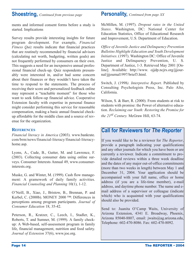## **Shoestring,** *Continued from previous page*

ments and informed consent forms before a study is started. Implications

Survey results provide interesting insights for future program development. For example, *Financial Fitness Quiz* results indicate that financial practices that are routinely recommended by financial advisors (calculating net worth, budgeting, written goals) are not frequently performed by consumers on their own. This suggests a need for an inexpensive annual professional financial check-up. Quiz respondents presumably were interested in, and/or had some concern about their finances or they wouldn't have taken the time to respond to the statements. The process of receiving their score and personalized feedback online may represent a "teachable moment" for those who want to seek follow-up financial advice. Cooperative Extension faculty with expertise in personal finance might consider performing this service for reasonable compensation, making a basic annual financial checkup affordable for the middle class and a source of revenue for the organization.

#### **REFERENCES**

*Financial literacy in America* (2003). www.bankrate. com/brm/news/financial-literacy/financial-literacyhome.asp.

Lyons, A., Cude, B., Gutter, M. and Lawrence, F. (2003). Collecting consumer data using online surveys. Consumer Interests Annual 49, www.consumerinterests.org.

Muske, G. and Winter, M. (1999). Cash flow management: A gramework of daily family activities. *Financial Counseling and Planning* 10(1), 1-12.

O'Neill, B., Xiao, J., Bristow, B., Brennan, P. and Kerbel, C. (2000b). MONEY 2000 ™: Differences in perceptions among program participants. *Journal of Consumer Education* 18, 35-42.

Peterson, R., Kratzer, C., Leech, I., Stadler, K., Roberts, T. and Sumner, M. (1999). A family checkup: A Web-based, self-assessment program in family life, financial management, nutrition and food safety. *Journal of Extension* 37(6), www.joe.org.

## **Personality,** *Continued from page XX*

McMillen, M. (1997). *Dropout rates in the United States*. Washington, DC: National Center for Education Statistics, Office of Educational Research and Improvement, U.S. Department of Education.

*Office of Juvenile Justice and Delinquency Prevention Bulletins Highlight Education and Youth Development Initiatives*. (1997). Washington DC: Office of Juvenile Justice and Delinquency Prevention, U. S. Department of Justice, 1-3. Retrieved May 2001 [Online]. Available: http://www. ojjdp.ncjrs.org/jjjournal/jjjournal1997/brief3.html.

Switch, J. (1998*). Interpretive Report*. Published by Consulting Psychologists Press, Inc. Palo Alto, California.

Wilson, S. & Barr, R. (2000). From students at risk to students with promise: the Power of alternative education. *Reclaiming our Youth: Restoring the Promise for the 21st Century.* McGraw Hill, 63-74.

## **Call for Reviewers for** *The Reporter*

If you would like to be a reviewer for *The Reporter*, provide a paragraph indicating your qualifications and any other journals for which you have been or are currently a reviewer. Indicate a commitment to provide detailed reviews within a three week deadline and the dates of any major out-of-office commitments (more than two weeks in length) between May 1 and December 31, 2004. Your application should be accompanied with your full name, office or home address (if you are a life-time member), e-mail address, and daytime phone number. The name and email address of a supervisor or colleague (indicate which) who is acquainted with your qualifications should also be provided.

Send to: Juanita O'Camp Waits, University of Arizona Extension, 4341 E. Broadway, Phoenix, Arizona 85040-8807, email: jwaits@ag.arizona.edu, Telephone: 602-470-8086. Fax: 602-470-8092.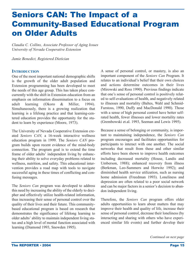# Seniors CAN: The Impact of a Community-Based Educational Program on Older Adults

*Claudia C. Collins, Associate Professor of Aging Issues University of Nevada Cooperative Extension*

*Jamie Benedict, Registered Dietician*

#### **INTRODUCTION**

One of the most important national demographic shifts is the growth of the older adult population and Extension programming has been developed to meet the needs of this age group. This has taken place concurrently with the shift in Extension education from an emphasis on information dissemination to a focus on adult learning (Okoro & Miller, 1994). Simultaneously, there is a growing realization that learning is a lifelong practice and that learning-centered education provides the opportunity for the student to learn by experience (Moore, 1973).

The University of Nevada Cooperative Extension created *Seniors CAN,* a 16-week interactive wellness education program in 1999. The *Seniors CAN* program builds upon recent evidence of the mind-body connection. The program goal is to extend the time frame of older adults' independent living by enhancing their ability to solve everyday problems related to wellness, nutrition, and safety. This educational intervention provides a road map with tools to navigate successful aging in these times of conflicting and confusing messages.

The *Seniors Can* program was developed to address this need by increasing the ability of the elderly to decipher and effectively utilize health-related information, thus increasing their sense of personal control over the quality of their lives and their future. This communitybased educational program is based on research that demonstrates the significance of lifelong learning to older adults' ability to maintain independent living status and a high level of mental function associated with learning (Diamond 1993, Snowden 1995).

A sense of personal control, or mastery, is also an important component of the *Seniors Can* Program. It relates to an individual's belief that their own choices and actions determine outcomes in their lives (Mirowski and Ross 1990). Previous findings indicate that one's sense of personal control is positively related to self-evaluations of health, and negatively related to illnesses and mortality (Baltes, Wahl and Schmid-Furstoss, 1990, Duffy and MacDonald 1990). Those with a sense of high personal control have better selfrated health, fewer illnesses and lower mortality rates (Grembowski et.al. 1993, Seeman and Lewis 1995).

Because a sense of belonging or community, is important to maintaining independence, the *Seniors Can* program encourages and facilitates opportunities for participants to interact with one another. The social networks that result from these and other similar efforts have been shown to improve health outcomes including decreased mortality (House, Landis and Umberson, 1988); enhanced recovery from illness (Berkman, Leo-Summers and Horwitz 1992); and diminished health service utilization, such as nursing home admission (Freedman 1993). Loneliness and depression are often related to a poor social network and can be major factors in a senior's decision to abandon independent living.

Therefore, the *Seniors Can* program offers older adults opportunities to learn about matters that may improve their health and quality of life, increase their sense of personal control, decrease their loneliness (by interacting and sharing with others who have experienced similar life events) and further develop their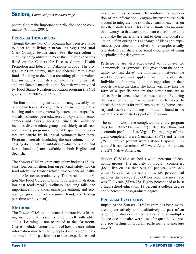## **Seniors,** *Continued from previous page*

potential to make important contributions to the community (Collins, 2001).

### **PROGRAM DESCRIPTION**

Though the *Seniors Can* program has been available to older adults living in urban Las Vegas and rural Clark County, Nevada since 1999, the curriculum is currently being utilized in more than 35 states and was listed on the Centers for Disease Control, Health Promotion and Education Database in 2002. The program runs on county, state and federal Smith Lever funds. Funding to develop a recruiting plan for volunteer instructors, publish a volunteer training manual, and translate all materials into Spanish was provided by Food Stamp Nutrition Education program (FSNE) grants in FY 2002 and FY 2003.

The four-month-long curriculum is taught weekly, for one to two hours, at congregate sites (including public housing and senior centers) by extension paraprofessionals, volunteer peer educators and by staff of senior centers and elderly housing. Since the audience includes diverse ethnic groups and elderly at all economic levels, programs offered at Hispanic senior centers are taught by bi-lingual volunteer instructors. Program materials (including the curriculum, in-processing documents, quantitative evaluation scales, and lesson handouts) are available in both English and Spanish.

The *Seniors CAN* program curriculum includes 15 lessons: four on nutrition, four on personal safety, two on food safety, two finance related, two on general health, and one lesson on productivity. Topics relate to nutrition (the Food Guide Pyramid, food safety, hydration, low-cost foods/meals), wellness (reducing falls, the importance of flu shots, crime prevention), and economics (prevention of consumer fraud, and finding part-time employment).

### **METHODS**

The *Seniors CAN* lesson-format is interactive, a learning method that works extremely well with older adults. Learning is not restricted to the classroom. Classes include demonstrations of how the curriculum information may be readily applied and opportunities are provided for participants to share experiences and

model wellness behaviors. To reinforce the application of the information, program instructors ask each student to integrate one skill they learn in each lesson into their daily lives. Class size is limited to no more than twenty, so that each participant can ask questions and make the material relevant to their individual situation. Often during this exchange of ideas and experiences, peer education evolves. For example, usually one student can share a personal experience of being hospitalized for dehydration.

Participants are also encouraged to volunteer for "homework" assignments. This gives them the opportunity to "test drive" the information between the weekly classes and apply it in their daily life. Individuals often provide unique suggestions in their reports back to the class. The homework may take the form of a specific problem that participants are to solve. For instance, after the presentation "Reducing the Risks of Crime," participants may be asked to check their homes for problems regarding home security and resolve them using information found in the materials or discussed as part of the lesson.

The seniors who have completed the entire program thus far  $(1999-2002; n= 172)$  reflect the ethnic and economic profile of Las Vegas. The majority of program completers were Caucasian (69%) and female (75%). Twelve percent were Latino/ Hispanic, 11% were African American, 6% were Asian American, and 2% Native American.

*Seniors CAN* also reached a wide spectrum of economic groups. The majority of program completers  $(65%)$  live on less than \$20,000 per year with  $34%$ under \$9,999. At the same time, six percent had incomes that exceed \$50,000 per year. The mean age was 73.9 years (SD=8.28). Eighty percent had at least a high school education, 13 percent a college degree and 9 percent a post-graduate degree.

### **PROGRAM EVALUATION**

Impact of the *Seniors CAN* Program has been measured quantitatively and qualitatively as part of an ongoing evaluation. Three scales and a multiplechoice questionnaire were used for quantitative preand post-testing of program participants to measure impact: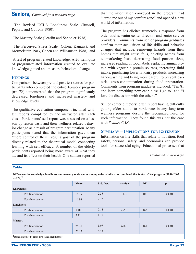### **Seniors,** *Continued from previous page*

The Revised UCLA Loneliness Scale. (Russell, Peplau, and Cutrona 1980);

The Mastery Scale (Pearlin and Schooler 1978);

The Perceived Stress Scale (Cohen, Kamarck and Mermelstein 1983, Cohen and Williamson 1988); and

A test of program-related knowledge. A 26-item quiz of program-related information created to evaluate knowledge gained and measure behavioral change.

#### **FINDINGS**

Comparisons between pre-and post-test scores for participants who completed the entire 16-week program  $(n=172)$  demonstrated that the program significantly decreased loneliness and increased mastery and knowledge levels.

The qualitative evaluation component included written reports completed by the instructor after each class. Participants' self-report was assessed on a lesson-by-lesson basis and their wellness-related behavior change as a result of program participation. Many participants stated that the information gave them "more control of their lives," a goal of the program directly related to the theoretical model connecting learning with self-efficacy**.** A number of the elderly participants reported being more aware of what they ate and its affect on their health. One student reported that the information conveyed in the program had "jarred me out of my comfort zone" and opened a new world of information.

The program has elicited tremendous response from older adults, senior center directors and senior service providers. Comments from senior program graduates confirm their acquisition of life skills and behavior changes that include: removing hazards from their homes that might cause falls, deleting names from telemarketing lists, decreasing food portion sizes, increased reading of food labels, replacing animal protein with vegetable protein sources, increasing fluid intake, purchasing lower fat dairy products, increasing hand-washing and being more careful to prevent bacterial cross-contamination during food preparation. Comments from program graduates included: "I'm 81 and learn something new each class I go to" and "I love the discussion with the others."

Senior center directors' often report having difficulty getting older adults to participate in any long-term wellness programs despite the recognized need for such information. They found this was not the case with *Seniors CAN*.

#### **SUMMARY – IMPLICATIONS FOR EXTENSION**

Information on life skills that relate to nutrition, food safety, personal safety, and economics can provide tools for successful aging. Educational processes that

| <b>Table</b>                                                                                                                                              |       |           |          |           |              |
|-----------------------------------------------------------------------------------------------------------------------------------------------------------|-------|-----------|----------|-----------|--------------|
| Differences in knowledge, loneliness and mastery scale scores among older adults who completed the Seniors CAN program (1999-2002<br>$n=172$ <sup>†</sup> |       |           |          |           |              |
|                                                                                                                                                           | Mean  | Std. Dev. | t-value  | <b>DF</b> | $\mathbf{p}$ |
| Knowledge                                                                                                                                                 |       |           |          |           |              |
| Pre-Intervention                                                                                                                                          | 14.19 | 2.35      | $-11.03$ | 106       | < 0.001      |
| Post-Intervention                                                                                                                                         | 16.98 | 2.12      |          |           |              |
| <b>Loneliness</b>                                                                                                                                         |       |           |          |           |              |
| Pre-Intervention                                                                                                                                          | 8.48  | 2.14      | 5.66     | 162       | < 0.001      |
| Post-Intervention                                                                                                                                         | 7.71  | 1.70      |          |           |              |
| <b>Mastery</b>                                                                                                                                            |       |           |          |           |              |
| Pre-Intervention                                                                                                                                          | 25.31 | 5.07      | $-6.89$  | 161       | < 0001       |
| Post-Intervention                                                                                                                                         | 27.13 | 4.43      |          |           |              |
| <b>T</b> Based on paired t-tests; two-tailed significance                                                                                                 |       |           |          |           |              |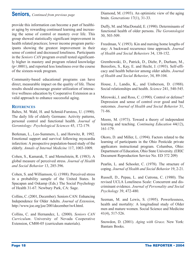## **Seniors,** *Continued from previous page*

provide this information can become a part of healthier aging by rewarding continued learning and increasing the sense of control or mastery over life. This group showed statistically significant improvement in health related practices; lower income program participants showing the greatest improvement in their sense of control and decreased loneliness. Participants in the *Seniors CAN* program overall tested significantly higher in mastery and program related knowledge (p<.0001), and reported less loneliness over the course of the sixteen-week program.

Community-based educational programs can have direct, measurable impact on the quality of life. These results should encourage greater utilization of interactive wellness education by Cooperative Extension as a valid approach to enhance successful aging.

#### **REFERENCES**

Baltes, M. Wahl, H. and Schmid-Furstoss, U. (1990). The daily life of elderly Germans: Activity patterns, personal control and functional health. *Journal of Gerontology: Psychological Sciences* 45, 172-179.

Berkman, L., Leo-Summers, L. and Horwitz, R. 1992. Emotional support and survival following myocardia infarction: A prospective population-based study of the elderly. *Annals of Internal Medicine* 117, 1003-1009.

Cohen, S., Kamarak, T. and Memelstein, R. (1983). A global measure of perceived stress. *Journal of Health and Social Behavior* 13, 285-396.

Cohen, S. and Williamson, G. (1988). Perceived stress in a probability sample of the United States. In Spacapan and Oskamp (Eds.) The Social Psychology of Health 31-67. Newbury Park, CA: Sage.

Collins, C. (2001, December). Seniors CAN: Enhancing Independence for Older Adults. *Journal of Extension*, http://www.joe.org/joe/2001december/iw4.html.

Collins, C. and Hernandez, L. (2000). *Seniors CAN Curriculum*. University of Nevada Cooperative Extension, CM00-05 (curriculum materials).

Diamond, M. (1993). An optimistic view of the aging brain. *Generations* 17(1), 31-33.

Duffy, M. and MacDonald, E. (1990). Determinants of functional health of older persons. *The Gerontologist* 30, 503-509.

Freedman, V. (1993). Kin and nursing home lengths of stay: A backward recurrence time approach. *Journal of Health and Social Behaviors* 34, 138-152.

Grembowski, D., Patrick, D., Diehr, P., Durham, M., Beresfors, S., Kay, E. and Hecht, J. (1993). Self-efficacy and health behavior among older adults. *Journal of Health and Social Behavior*, 34, 89-104.

House, J., Landis, K., and Umberson, D. (1988). Social relationships and health. *Science* 241, 540-545.

Mirowski, J. and Ross, C. (1990). Control or defense? Depression and sense of control over good and bad outcomes*. Journal of Health and Social Behavior* 31, 71-86.

Moore, M. (1973). Toward a theory of independent learning and teaching. *Continuing Education* 44(12), 161-179.

Okoro, D. and Miller, L. (1994). Factors related to the learning of participants in the Ohio Pesticide private applicators instructional program. Columbus, Ohio: Department of Education, Ohio State University. (ERIC Document Reproduction Service No. ED 372 209)

Pearlin, L. and Schooler, C. (1978). The structure of coping. *Journal of Health and Social Behavior* 19, 2-21.

Russell, D., Pepau, L. and Cutrona, C. (1980). The revised UCLA Loneliness Scale: Concurrent and discriminant evidence. *Journal of Personality and Social Psychology* 39, 472-480.

Seeman, M. and Lewis, S. (1995). Powerlessness, health and mortality: A longitudinal study of Older men and mature women. Social Science and Medicine 41(4), 517-526.

Snowdon, D. (2001). *Aging with Grace*. New York: Bantam Books.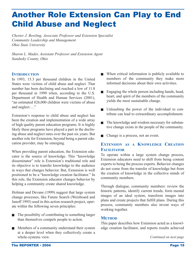# Another Role Extension Can Play to End Child Abuse and Neglect

*Chester J. Bowling, Associate Professor and Extension Specialist Community Leadership and Management Ohio State University*

*Sharon L. Mader, Assistant Professor and Extension Agent Sandusky County, Ohio*

#### **INTRODUCTION**

In 1993, 15.3 per thousand children in the United States were victims of child abuse and neglect. That number has been declining and reached a low of 11.8 per thousand in 1999 when, according to the U.S. Department of Health and Human Services (2001), "an estimated 826,000 children were victims of abuse and neglect…."

Extension's response to child abuse and neglect has been the creation and implementation of a wide array of high quality parent education programs. It is highly likely these programs have played a part in the declining abuse and neglect rates over the past six years. But another role for Extension, beyond being a parent education provider, may be emerging.

When providing parent education, the Extension educator is the source of knowledge. This "knowledge disseminator" role is Extension's traditional role and its objective is to transfer knowledge to the audience in ways that changes behavior. But, Extension is well positioned to be a "knowledge creation facilitator." In this role, the Extension educator changes behavior by helping a community create shared knowledge.

Holman and Devane (1999) suggest that large system change processes, like Future Search (Weisboard and Janoff 1995) used in this action research project, operate within the following seven principles:

- $\blacksquare$  The possibility of contributing to something larger than themselves compels people to action.
- $\blacksquare$  Members of a community understand their system at a deeper level when they collectively create a whole-systems view.
- $\blacksquare$  When critical information is publicly available to members of the community they make more informed decisions about their own activities.
- $\blacksquare$  Engaging the whole person including hands, head, heart, and spirit of the members of the community yields the most sustainable change.
- <sup>Q</sup> Unleashing the power of the individual to contribute can lead to extraordinary accomplishment.
- $\blacksquare$  The knowledge and wisdom necessary for substantive change exists in the people of the community.
- $\blacksquare$  Change is a process, not an event.

### **EXTENSION AS A KNOWLEDGE CREATION FACILITATOR**

To operate within a large system change process, Extension educators need to shift from being content experts to being the process experts. Behavior changes do not come from the transfer of knowledge but from the creation of knowledge in the collective minds of community members.

Through dialogue, community members: review the historic patterns, identify current trends, form mental images of an ideal system, transform images into plans and create projects that fulfill plans. During this process, community members also invent ways of working together.

#### **METHOD**

This paper describes how Extension acted as a knowledge creation facilitator, and reports results achieved

*Continued on next page*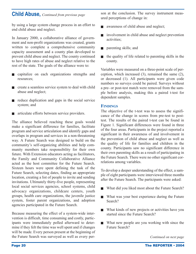## **Child Abuse,** *Continued from previous page*

by using a large system change process in an effort to end child abuse and neglect.

In January 2000, a collaborative alliance of government and non-profit organizations was created, grants written to complete a comprehensive community capacity assessment and a county plan developed to prevent child abuse and neglect. The county continued to have high rates of abuse and neglect relative to the rest of the state. The goals of the alliance were to:

- capitalize on each organizations strengths and resources;
- create a seamless service system to deal with child abuse and neglect;
- reduce duplication and gaps in the social service system; and
- articulate efforts between service providers.

The alliance believed reaching these goals would make a significant difference for families, facilitate program and service articulation and identify gaps and overlaps in program and services in a non-threatening way. A Future Search was designed to build on the community's self-organizing abilities and help community members take responsibility for their own future. With Extension educators acting as facilitators, the Family and Community Collaborative Alliance acted as the host committee for the Future Search. Sixteen hours were spent defining the task of the Future Search, selecting dates, finding an appropriate location, creating a list of people to invite and sending invitations. Ultimately thirty-five people, representing local social services agencies, school systems, child advocacy organizations, childcare centers, youth groups, health care organizations, the juvenile justice system, foster parent organizations, and adoption agencies participated in the Future Search.

Because measuring the effect of a system-wide intervention is difficult, time consuming and costly, participants were immediately polled afterward to determine if they felt the time was well spent and if changes will be made. Every person present at the beginning of the Future Search was surveyed as well as every person at the conclusion. The survey instrument measured perceptions of change in:

- awareness of child abuse and neglect;
- $\blacksquare$  involvement in child abuse and neglect prevention activities;
- parenting skills; and
- the quality of life related to parenting skills in the county.

Variables were measured on a three-point scale of perception, which increased (3), remained the same (2), or decreased (1). All participants were given code numbers so surveys could be paired. Surveys without a pre- or post-test match were removed from the sample before analysis, making this a paired t-test for dependent samples.

#### **FINDINGS**

The objective of the t-test was to assess the significance of the change in scores from pre-test to posttest. The results of the paired t-test can be found in Figure 1. Significant differences were found in three of the four areas. Participants in the project reported a significant in their awareness of and involvement in the prevention of child abuse and neglect as well as the quality of life for families and children in the county. Participants saw no significant difference in their own parenting skills as a result of participating in the Future Search. There were no other significant correlations among variables.

To develop a deeper understanding of the effect, a sample of eight participants were interviewed three months after the Future Search. The participants were asked:

- What did you liked most about the Future Search?
- $\blacksquare$  What was your best experience during the Future Search?
- $\blacksquare$  What kinds of new projects or activities have you started since the Future Search?
- $\blacksquare$  What new people are you working with since the Future Search?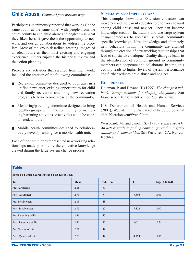## **Child Abuse,** *Continued from previous page*

Participants unanimously reported that working (in the same room at the same time) with people from the entire county to end child abuse and neglect was what they liked best. It gave them the opportunity to network and design collaborations to address the problem. Most of the group described creating images of an ideal future as their most exciting and engaging experience. Others enjoyed the historical review and the action planning.

Projects and activities that resulted from their work, included the creation of the following committees:

- $\blacksquare$  Recreation committee designed to publicize, in a unified newsletter, existing opportunities for child and family recreation and bring new recreation programs to low-income areas of the community,
- $\blacksquare$  Mentoring/parenting committee designed to bring together groups within the community for mentoring/parenting activities so activities could be coordinated, and the
- Mobile health committee designed to collaboratively develop funding for a mobile health unit.

Each of the committees represented new working relationships made possible by the collective knowledge created during the large system change process.

#### **SUMMARY AND IMPLICATIONS**

This example shows that Extension educators can move beyond the parent educator role to work toward ending child abuse and neglect. They can become knowledge creation facilitators and use large system change processes to successfully create community specific knowledge. New knowledge and ultimately new behaviors within the community are attained through the creation of new working relationships that lead to substantive dialogue. Quality dialogue leads to the identification of common ground so community members can cooperate and collaborate. In time, this activity leads to higher levels of system performance and further reduces child abuse and neglect.

#### **REFERENCES**

Holeman, P. and Devane, T. (1999). *The change handbook: Group methods for shaping the future*. San Francisco, CA: Berrett-Koehler Publishers, Inc.

U.S. Department of Health and Human Services (2001), Website: http://www.acf.dhhs.gov/programs/ cb/publications/cm99/cpt2.htm

Weisboard, M. and Janoff, S. (1995). *Future search: An action guide to finding common ground in organizations and communities*. San Francisco, CA: Berrett-Koehler.

#### **Table**

**Score on Future Search Pre and Post Event Tests**

| <b>Test</b>            | Mean | Std. Dev. | T        | Sig. (2-tailed) |
|------------------------|------|-----------|----------|-----------------|
| Pre: Awareness         | 2.26 | .53       |          |                 |
| Post: Awareness        | 2.70 | .54       | $-3.606$ | .001            |
| Pre: Involvement       | 2.19 | .48       |          |                 |
| Post: Involvement      | 2.93 | .27       | $-7.322$ | .000            |
| Pre: Parenting skills  | 2.30 | .47       |          |                 |
| Post: Parenting skills | 2.41 | .50       | $-.901$  | .376            |
| Pre: Quality of life   | 2.00 | .49       |          |                 |
| Post: Quality of life  | 2.65 | .49       | $-4.474$ | .000            |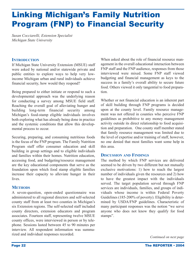# Linking Michigan's Family Nutrition Program (FNP) to Financial Security

*Susan Cocciarelli, Extension Specialist Michigan State University* 

#### **INTRODUCTION**

If Michigan State University Extension (MSUE) staff were asked by national and/or statewide private and public entities to explore ways to help very lowincome Michigan urban and rural individuals achieve financial security, how would they respond?

Being prepared to either initiate or respond to such a developmental approach was the underlying reason for conducting a survey among MSUE field staff. Reaching the overall goal of alleviating hunger and building long-term financial security among Michigan's food-stamp eligible individuals involves both exploring what has already being done in practice and the systemic conditions that allow this developmental process to occur.

Securing, preparing, and consuming nutritious foods is the focus of the FNP program. The Family Nutrition Program staff offer consumer education and skill building in group settings and to eligible individuals and families within their homes. Nutrition education, accessing food, and budgeting/resource management are the key educational components that serve as the foundation upon which food stamp eligible families increase their capacity to alleviate hunger in their lives.

#### **METHODS**

A seven-question, open-ended questionnaire was administered to all regional directors and self-selected county staff from at least two counties in Michigan's six Extension regions. The self-selected staff included county directors, extension educators and program associates. Fourteen staff, representing twelve MSUE county offices, were interviewed in person or by telephone. Sessions lasted between 45 to 90 minutes per interview. All respondent information was summarized and individual responses recorded.

When asked about the role of financial resource management in the overall educational interaction between FNP staff and the FNP audience, responses from those interviewed were mixed. Some FNP staff viewed budgeting and financial management as keys to the success in a family's overall ability to secure future food. Others viewed it only tangential to food preparation.

Whether or not financial education is an inherent part of skill building through FNP programs is decided upon at the county level. Family resource management was not offered in counties who perceive FNP guidelines as prohibitive to any money management activity outside its direct relationship to food acquisition and preparation. One county staff member stated that family resource management was limited due to the level of expertise and/or training of staff, however, no one denied that most families want some help in this area.

#### **DISCUSSION AND FINDINGS**

The method by which FNP services are delivered seemed to be driven by two different but not mutually exclusive motivations: 1) how to reach the largest number of individuals given the resources and 2) how to have the greatest impact with the individuals served. The target population served through FNP services are individuals, families, and groups of individuals whose income is within Federal Poverty Guidelines (185-200% of poverty). Eligibility is determined by USDA/FNP guidelines. Characteristic of many participant responses was the notion "we serve anyone who does not know they qualify for food stamps".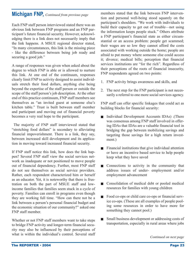## **Michigan FNP,** *Continued from previous page*

Each FNP staff person interviewed stated there was an obvious link between FNP programs and an FNP participant's future financial security. However, acknowledging there is a link does not necessarily imply that the link happens. A MSUE regional director stated, "In many circumstances, this link is the missing piece - like the difference between being job ready and securing a good job."

A range of responses was given when asked about the degree to which FNP is able or is allowed to nurture this link. At one end of the continuum, responses clearly limit FNP to activity designed to assist individuals stretch their food dollars, anything else being beyond the expertise of the staff person or outside the scope of the staff person's job description. At the other end of this practice continuum, FNP staff members see themselves as "an invited guest at someone else's kitchen table." Trust is built between staff member and participant and moving out of financial poverty becomes a very real hope to the participant.

The majority of FNP staff interviewed stated that "stretching food dollars" is secondary to alleviating financial impoverishment. There is a link, they say, between increased skill development and its application in moving toward increased financial security.

If FNP staff notice this link, how does the link happen? Several FNP staff view the social services network as inadequate or not positioned to move people out of financial dependency. Further, most FNP staff do not see themselves as social service providers. Rather, each respondent characterized him or herself as an educator. Yet, it is noteworthy that there is frustration on both the part of MSUE staff and lowincome families that families seem stuck in a cycle of poverty. Families can enroll in programs even though they are working full time. "How can there not be a link between a person's personal financial budget and the economic situation of our community?" asked one FNP staff member.

Whether or not FNP staff members want to take steps to bridge FNP activity and longer-term financial security may also be influenced by their perceptions of what is within the individual's control. Several staff

members stated that the link between FNP intervention and personal well-being stood squarely on the participant's shoulders. "We work with individuals to build their capacity to get out of trouble—not using the information keeps people stuck." Others attribute a FNP participant's financial state as either circumstantial or an access problem: people get scammed; their wages are so low they cannot afford the costs associated with working outside the home; people are afraid to put money where someone else could access it; divorce; medical bills; perception that financial services institutions are "for the rich". Regardless of their perceptions of the roots of financial insecurity, FNP respondents agreed on two points:

- 1. FNP activity brings awareness and skills, and
- 2. The next step for the FNP participant is not necessarily a referral to one more social services agency.

FNP staff can offer specific linkages that could act as building blocks for financial security:

- Individual Development Accounts IDAs) .(There was consensus among FNP staff involved in offering IDAs that IDAs are a valuable financial tool in bridging the gap between mobilizing savings and targeting those savings for a high return investment.)
- $\blacksquare$  Financial institutions that give individual attention or have an incentive based service to help people keep what they have saved
- $\Box$  Connections to activity in the community that address issues of under- employment and/or employment advancement
- $\Box$  Consolidation of medical debt or pooled medical resources for families with young children
- Food co-ops or child care co-ops or financial service co-ops. (These are all examples of people pooling some resources in order to have more for something they cannot pool.)
- Small business development or addressing costs of transportation, especially in rural areas where jobs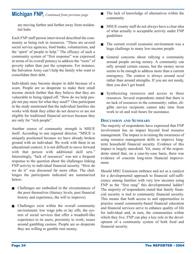## **Michigan FNP,** *Continued from previous page*

are moving further and further away from residential hubs

Each FNP staff person interviewed described the community as being rich in resources. "There are several social service agencies, food banks, volunteerism, and the 'spirit' of people to help." The efficacy of such a community system of "first response" was expressed in terms of its overall potency to address the "roots" of poverty rather than just the symptoms. For instance, the Salvation Army can't help the family who want to consolidate their debt.

Individuals may become deeper in debt because of a scam. People are so desperate to make their small income stretch further that they believe that they are vulnerable to being ripped off. "How do we help people not pay more for what they need?" One participant in the study mentioned that the individual families she works with think they either do not deserve or are not eligible for traditional financial services because they are only for "rich people".

Another source of community strength is MSUE itself. According to one regional director, "MSUE is uniquely positioned because we have already broken ground with an individual. We work with them in an educational context; it is not difficult to move forward with that person with additional skill sets." Interestingly, "lack of resources" was not a frequent response to the question about the challenges linking FNP activity to individual financial security. "How do we do it" was discussed far more often. The challenges the participants indicated are summarized below:

- $\blacksquare$  Challenges are embodied in the circumstances of the poor themselves (literacy levels, past financial history and experience, the will to improve)
- $\blacksquare$  Challenges exist within the overall community environment: low wage jobs or lay offs; the system of social services that offer a treadmill-like experience to its users; proximity to work; issues around gambling casinos. People are so desperate they are willing to gamble rent money.
- $\blacksquare$  The lack of knowledge of alternatives within the community
- MSUE county staff do not always have a clear idea of what actually is acceptable activity under FNP guidelines
- $\blacksquare$  The current overall economic environment was a huge challenge to many low-income people
- General concerns about rallying a community around people saving money. A community can rally around certain causes, but the money never seems to be enough to address more than a current emergency. The context is always around *need* rather than around strengths. If you are not needy, then you don't get heard.
- $\blacksquare$  Synthesizing resources and access to these resources. Several respondents stated that there is no lack of resources in the community; rather, eligible service recipients cannot take time from work to sit and wait hours for assistance.

#### **DISCUSSION AND SUMMARY**

The majority of respondents have expressed that FNP involvement has an impact beyond food resource management. The impact is in raising the awareness of using resource management skills to improve longterm household financial security. Evidence of this impact is largely anecdotal. Yet, many of the respondents stated that, on a case-by-case basis, there was evidence of concrete long-term financial improvement.

Should MSU Extension embrace and act as a catalyst for a developmental approach to financial self-sufficiency among families with very low incomes using FNP as the "first rung" this developmental ladder? The majority of respondents stated that family financial security is tied to community financial security. This means that both access to and opportunities to practice sound community-based financial education and financial services serve to enhance quality of life for individual and, in turn, the communities within which they live. FNP can play a key role in the development of a community system of both food and financial security.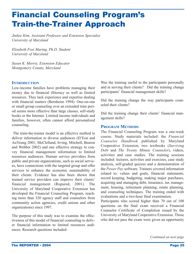# Financial Counseling Program's Train-the-Trainer Approach

*Jinhee Kim, Assistant Professor and Extension Specialist University of Maryland*

*Elisabeth Fost Maring, Ph.D. Student University of Maryland*

*Susan K. Morris, Extension Educator Montgomery County, Maryland*

#### **INTRODUCTION**

Low-income families have problems managing their money due to financial illiteracy as well as limited resources. They lack experience and expertise dealing with financial matters (Bernheim 1994). One-on-one or small group counseling over an extended time period seems more effective than large classes, self-study books or the Internet. Limited income individuals and families, however, often cannot afford personalized counseling.

The train-the-trainer model is an effective method to deliver information to diverse audiences (D'Eon and AuYeung 2001; McClelland, Irving, Mitchell, Bearon and Webber 2002) and one effective strategy to convey financial management information to limited resources audiences. Human service providers from public and private organizations, such as social services, have connections with the targeted group and offer services to enhance the economic sustainability of their clients. Evidence has also been shown that trained service providers can improve their clients' financial management (Rupured, 2001). The University of Maryland Cooperative Extension has developed the Financial Counseling Program, reaching more than 320 agency staff and counselors from community action agencies, credit unions and other organizations) since 1997.

The purpose of this study was to examine the effectiveness of this model of financial counseling to deliver financial information to limited resources audiences. Research questions included:

Was the training useful to the participants personally and in serving their clients? Did the training change participants' financial management skills?

Did the training change the way participants counseled their clients?

Did the training change their clients' financial management skills?

#### **PROGRAM METHODS**

The Financial Counseling Program was a one-week course. Study materials included: the *Financial Counselor Handbook* published by Maryland Cooperative Extension, two textbooks (*Surviving Debt* and *The Twenty Minute Counselor*), videos, activities and case studies. The training sessions included: lectures, activities and exercises, case study analysis, self-graded quizzes and a demonstration of the *Power Pay* software. Trainers covered information related to: values and goals, financial statements, record keeping, budgeting, making major purchases, acquiring and managing debt, insurance, tax management, housing, retirement planning, estate planning, and counseling techniques. The training ended with evaluations and a two-hour final examination.

Participants who scored higher than 70 out of 100 questions on the final exam received a Financial Counselor Certificate of Completion issued by the University of Maryland Cooperative Extension. Those who did not pass the exam were given an opportunity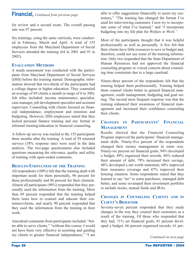### **Financial,** *Continued from previous page*

for review and a second exam. The overall passing rate was 97 percent.

Six trainings, using the same curricula, were conducted in February, March and April. A total of 155 employees from the Maryland Department of Social Services attended the training (64 in 2001 and 91 in 2002).

#### **EVALUATION METHODS**

A needs assessment was conducted with the participants from Maryland Department of Social Services (DSS) before the training started. Demographic information showed that two-thirds of the participants had a college degree or higher education. They counseled an average of 69 clients a month (a range of 6 to 300). Job titles included: income maintenance specialist, case manager, job development specialist and assistant supervisor. Counseling with clients focused on financial independence, employment and retention and budgeting. However, DSS employees stated that they lacked personal finance training and any formal or informal training/education in financial counseling.

A follow-up survey was mailed to the 155 participants three months after the training. A total of 59 returned surveys (38% response rate) were used in the data analysis. The two-page questionnaire also included questions measuring the relevance, quality and utility of training with open-ended comments.

#### **RESULTS-USEFULNESS OF THE TRAINING**

All respondents (100%) felt that the training dealt with important needs for them personally, 96 percent for them professionally and 86 percent for their clientele. Almost all participants (98%) responded that they personally used the information from the training, More than 89 percent responded that the training helped them learn how to counsel and educate their customers/clients, and nearly 90 percent responded that they used the information from the training in their work.

Anecdotal comments from participants included: "better able to serve clients," "without this course, I would not have been very effective in assisting and guiding my clients to greater financial independence," "I am able to offer suggestions financially to assist my customers," "The training has changed the format I've used for interviewing customers. I now try to incorporate some of what I've learned," and "I incorporate budgeting into my life plan for *Welfare to Work."*

Most of the participants thought that it was helpful professionally as well as personally. A few felt that their clients have little resources to save or budget and, therefore, could not use some of the training information. Only two responded that the State Department of Human Resources had not approved the financial counseling program or voiced concern about counseling time constraints due to a large caseload.

Ninety-three percent of the respondents felt that the training helped them professionally. Training helped them counsel clients better in general financial management, credit management, budgeting and goal setting. The second most frequent response was that the training enhanced their awareness of financial management and increased their confidence counseling their clients.

#### **CHANGES IN PARTICIPANTS' FINANCIAL MANAGEMENT**

Results showed that the Financial Counseling Program improved the participants' financial management skills. Ninety-five percent of the respondents changed their money management in some way. Ninety-six percent set financial goals, 94% developed a budget, 89% organized their records, 86% reduced their amount of debt, 79% increased their savings, 48% developed a net worth statement, 60% improved their insurance coverage and 47% improved their housing situation. Some respondents stated that they learned to say "no" to some purchases, managed debt better, and some revamped their investment portfolio to include stocks, mutual funds and IRAs.

#### **CHANGES IN COUNSELING CLIENTS AND IN CLIENT'S BEHAVIOR**

Seventy-seven percent responded that they made changes in the way they counsel their customers as a result of the training. Of those who responded that they had, 71% set financial goals, 81 percent developed a budget, 66 percent organized records, 61 per-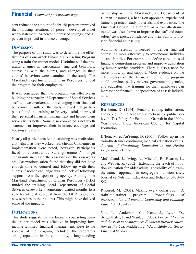## **Financial,** *Continued from previous page*

cent reduced the amount of debt, 58 percent improved their housing situation, 56 percent developed a net worth statement, 54 percent increased savings, and 31 percent improved insurance coverage.

### **DISCUSSION**

The purpose of this study was to determine the effectiveness of a one-week Financial Counseling Program using a train-the-trainer model. Usefulness of the program, changes in participants' financial behaviors, counseling with the clients, and changes in their clients' behaviors were examined in the study. The Maryland Department of Human Resources funded the program for their employees.

It was concluded that the program was effective in building the capacity of Department of Social Services staff and caseworkers and in changing their financial behaviors. Results of the study showed that participants found the training to be very useful, improved their personal financial management and helped them serve clients better. Some also completed a net worth statement or improved their insurance coverage and housing situations.

Nearly all participants felt the training was professionally helpful as they worked with clients. Challenges in implementation were noted, however. Participants faced time constraints. State government's budget constraints increased the caseloads of the caseworkers. Caseworkers often found that they did not have enough time to counsel and follow up with their clients. Another challenge was the lack of follow-up support from the sponsoring agency. Although the Maryland Department of Human Resources (DHR) funded the training, local Department of Social Services caseworkers sometimes waited months to a year for official approval from the DHR to provide new services to their clients. This might have delayed some of the impacts.

#### **IMPLICATIONS**

This study suggests that the financial counseling trainthe trainer model was effective in improving lowincome families' financial management. Keys to the success of the program, included: the program's strong reputation in the community, a long-standing partnership with the Maryland State Department of Human Resources, a hands-on approach, experienced trainers, practical study materials, and evaluation. The Financial Counseling Program as a train-the-trainer model was also shown to improve the staff and counselors' awareness, confidence and their ability to provide financial counseling.

Additional research is needed to deliver financial counseling more effectively to low-income individuals and families. For example, to define core topics of financial counseling program and improve adaptation by human service providers. There is also a need for more follow-up and support. More evidence on the effectiveness of the financial counseling program could convince policy makers, government agencies, and educators that training for their employees can increase the financial independence of at-risk individuals.

#### **REFERENCES**

Bernheim, D. (1994). Personal saving, information, and economic literacy: New directions for public policy. In Tax Policy for Economic Growth in the 1990s. Washington, D.C.: American Council for Capital Formation.

D'Eon, M. & AuYeung, D. (2001). Follow-up in the train-the-trainer continuing medical education events*. Journal of Continuing Education in the Health Professions* 21, 33-39.

McClelland, J., Irving, L., Mitchell, R., Bearon, L., and Webber, K. (2002). Extending the reach of nutrition education for older adults: Feasibility of a trainthe-trainer approach in congregate nutrition sites. Journal of Nutrition Education and Behavior 34, S48- S52.

Rupured, M. (2001). Making every dollar count: A train-the-trainer program. *Proceedings of theAssociation of Financial Counseling and Planning Education,* 188-199.

Vitt, L., Anderson, C., Kent, J., Lyter, D., Siegenthaler, J. and Ward, J. (2000). *Personal finance and the rush to competence: Financial literacy education in the U.S.* Middleburg, VA: Institute for Socio-Financial Studies.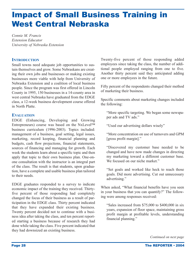# Impact of Small Business Training in West Central Nebraska

*Connie M. Francis Extension Educator University of Nebraska Extension*

#### **INTRODUCTION**

Small towns need adequate job opportunities to sustain themselves and grow. Some Nebraskans are creating their own jobs and businesses or making existing businesses more viable with help from University of Nebraska Extension and a coalition of local business people. Since the program was first offered in Lincoln County in 1995, 150 businesses in a 14-county area in west central Nebraska have graduated from the EDGE class, a 12-week business development course offered in North Platte.

#### **EVALUATION**

EDGE (Enhancing, Developing and Growing Entrepreneurs) course was based on the NxLevel™ business curriculum (1996-2003). Topics included: management of a business, goal setting, legal issues, marketing, record keeping, financial planning and budgets, cash flow projections, financial statements, sources of financing and managing for growth. Each week the students learn about a specific topic and then apply that topic to their own business plan. One-onone consultation with the instructor is an integral part of the class. The result is that students, upon graduation, have a complete and usable business plan tailored to their needs.

EDGE graduates responded to a survey to indicate economic impact of the training they received. Thirtyfive percent of those responding had completely changed the focus of their business as a result of participation in the EDGE class. Thirty percent indicated that they have expanded their existing business. Twenty percent decided not to continue with a business idea after taking the class, and ten percent reported starting a business because of research they had done while taking the class. Five percent indicated that they had downsized an existing business.

Twenty-five percent of those responding added employees since taking the class, the number of additional people employed ranging from one to five. Another thirty percent said they anticipated adding one or more employees in the future.

Fifty percent of the respondents changed their method of marketing their business.

Specific comments about marketing changes included the following:

"More specific targeting. We began some newspaper ads and TV ads."

"Used our advertising dollars wisely"

"More concentration on use of turnovers and GPM [gross profit margin]."

"Discovered my customer base needed to be changed and have now made changes in directing my marketing toward a different customer base. We focused on our niche market."

"Set goals and worked like heck to reach those goals. Did more advertising. Cut out unnecessary advertising."

When asked, "What financial benefits have you seen in your business that you can quantify?" The following were among responses received:

"Sales increased from \$75,000 to \$400,000 in six years, expansion of floor space, maintaining gross profit margin at profitable levels, understanding financial planning."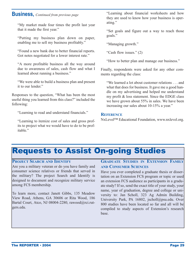### **Business,** *Continued from previous page*

"My market made four times the profit last year that it made the first year."

"Putting my business plan down on paper, enabling me to sell my business profitably."

"Found a new bank due to better financial reports. Got notes negotiated for a lower interest rate."

"A more profitable business all the way around due to awareness of sales, cash flow and what I learned about running a business."

"We were able to build a business plan and present it to our lender."

Responses to the question, "What has been the most useful thing you learned from this class?" included the following:

"Learning to read and understand financials."

"Learning to itemize cost of sales and gross profits to project what we would have to do to be profitable."

"Learning about financial worksheets and how they are used to know how your business is operating."

"Set goals and figure out a way to reach those goals."

"Managing growth."

"Cash flow issues." (2)

"How to better plan and manage our business."

Finally, respondents were asked for any other comments regarding the class:

"We learned a lot about customer relations . . . and what that does for business. It gave me a good handle on my advertising and helped me understand my profit & loss statement. Since the EDGE class we have grown about 55% in sales. We have been increasing our sales about 10-15% a year."

#### **REFERENCE**

NxLevel™ Educational Foundation, www.nxlevel.org.

# Requests to Assist On-going Studies

#### **PROJECT SEARCH AND IDENTIFY**

Are you a military veteran or do you have family and consumer science relatives or friends that served in the military? The project Search and Identify is designed to document and recognize military service among FCS membership.

To learn more, contact Janett Gibbs, 135 Meadow View Road, Athens, GA 30606 or Rita Wood, 186 Bartal Court, Atco, NJ 08004-2280, rawood@rci.rutgers.edu.

#### **GRADUATE STUDIES IN EXTENSION FAMILY AND CONSUMER SCIENCES**

Have you ever completed a graduate thesis or dissertation on an Extension FCS program or topic or used an extension FCS audience as participants in a graduate study? If so, send the exact title of your study, your name, year of graduation, degree and college or university to: Jan Scholl, 323 Ag Admin Building, University Park, PA 16802, jscholl@psu.edu. Over 800 studies have been located so far and all will be compiled to study aspects of Extension's research base.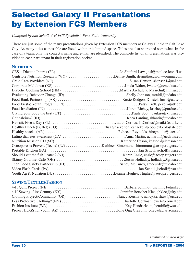# Selected Galaxy II Presentations by Extension FCS Members

*Compiled by Jan Scholl, 4-H FCS Specialist, Penn State University*

These are just some of the many presentations given by Extension FCS members at Galaxy II held in Salt Lake City. As many titles as possible are listed within this limited space. Titles are also shortened somewhat. In the case of a team, only the contact's name and e-mail are identified. The complete list of all presentations was provided to each participant in their registration packet.

#### **NUTRITION**

| $CES + Dietetic Interns (FL) \dots \dots \dots \dots \dots \dots \dots \dots \dots$ Jo Shuford-Law, josl@mail.co.leon.fl.us |
|-----------------------------------------------------------------------------------------------------------------------------|
| Centsible Nutrition Research (WY) Denise Smith, desmith@uwo.wyoming.com                                                     |
|                                                                                                                             |
|                                                                                                                             |
|                                                                                                                             |
|                                                                                                                             |
|                                                                                                                             |
|                                                                                                                             |
|                                                                                                                             |
|                                                                                                                             |
|                                                                                                                             |
|                                                                                                                             |
|                                                                                                                             |
|                                                                                                                             |
|                                                                                                                             |
|                                                                                                                             |
|                                                                                                                             |
|                                                                                                                             |
|                                                                                                                             |
|                                                                                                                             |
|                                                                                                                             |
|                                                                                                                             |
|                                                                                                                             |

### **SEWING/TEXTILES/FASHION**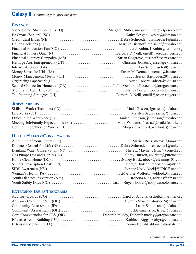## **Galaxy II,** *Continued from previous page*

### **FINANCE**

## **JOBS/CAREERS**

## **HEALTH/SAFETY/CONSERVATION**

| Diabetes Control for Life (NE) Debra Schroeder, dschroeder1@unl.edu |  |
|---------------------------------------------------------------------|--|
| Drinking Water Conservation (NY) Theresa Mayhew, tcm5@cornell.edu   |  |
|                                                                     |  |
|                                                                     |  |
|                                                                     |  |
|                                                                     |  |
|                                                                     |  |
|                                                                     |  |
|                                                                     |  |
|                                                                     |  |

## **EXTENSION ISSUES/PROGRAMS**

| Core Competencies for CES (OR) $\dots \dots \dots \dots$ Deborah Maddy, Deborah maddy @ or egonstate edu                  |  |
|---------------------------------------------------------------------------------------------------------------------------|--|
| Effective Team Building (UT) $\dots \dots \dots \dots \dots \dots \dots \dots \dots$ . Kathleen Riggs, kathyr@ext.usu.edu |  |
|                                                                                                                           |  |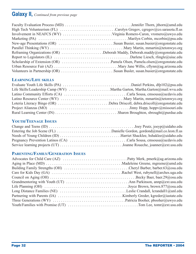## **Galaxy II,** *Continued from previous page*

| Reframing Organizations (OR) Deborah Maddy, Deborah.maddy@oregonstate.edu |  |
|---------------------------------------------------------------------------|--|
|                                                                           |  |
|                                                                           |  |
|                                                                           |  |
|                                                                           |  |

## **LEARNING/LIFE SKILLS**

| Latino Community Efforts (CA) Carla Sousa, cmsousa@ucdavis.edu             |  |
|----------------------------------------------------------------------------|--|
|                                                                            |  |
| Loteria Literacy Bingo (OR) Debra Driscoll, debra.driscoll@oregonstate.edu |  |
|                                                                            |  |
|                                                                            |  |

## **YOUTH/TEENAGE ISSUES**

| Entering the Job Scene (FL) $\dots \dots \dots \dots \dots \dots \dots \dots \dots$ . Danielle Gordon, gordond@mail.co.leon.fl.us |  |
|-----------------------------------------------------------------------------------------------------------------------------------|--|
|                                                                                                                                   |  |
|                                                                                                                                   |  |
|                                                                                                                                   |  |

## **PARENTING/FAMILY/GENERATION ISSUES**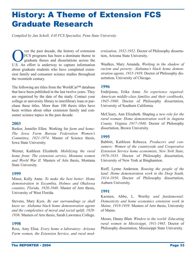# History: A Theme of Extension FCS Graduate Research

*Compiled by Jan Scholl, 4-H FCS Specialist, Penn State University*

Ver the past decade, the history of extension<br>FCS programs has been a dominate theme in<br>graduate theses and dissertations across the FCS programs has been a dominate theme in graduate theses and dissertations across the U.S. An effort is underway to capture information about graduate students who have completed extension family and consumer science studies throughout the twentieth century.

The following are titles from the WorldCat™ database that have been published in the last twelve years. They are organized by the date of the study. Contact your college or university library to interlibrary loan or purchase these titles. More than 100 thesis titles have been written about other extension family and consumer science topics in the past decade.

#### **2003**

Barker, Jennifer Ellen. Working for *farm and home: The Iowa Farm Bureau Federation Women's Committee, 1921-1974*. Master of Science thesis, Iowa State University.

Werner, Kathleen Elizabeth. *Mobilizing the rural home front: The extension service, Montana women and World War II.* Masters of Arts thesis, Montana State University.

#### **1999**

Minor, Kelly Anne. *To make the best better: Home demonstration in Escambia, Holmes and Okaloosa counties, Florida, 1920-1940*. Master of Arts thesis, University of West Florida.

Stevens, Mary Kyes. *By our surroundings ye shall know us: Alabama black home demonstration agents and the complexities of moral and social uplift, 1928- 1936.* Masters of Arts thesis, Sarah Lawrence College.

#### **1998**

Ross, Amy Elisa. *Every home a laboratory: Arizona Farm women, the Extension Service, and rural mod-* *ernization, 1932-1952*. Doctor of Philosophy dissertation, Arizona State University.

Waalkes, Mary Amanda. *Working in the shadow of racism and poverty: Alabama's black home demonstration agents, 1915-1939*. Doctor of Philosophy dissertation, University of Chicago.

#### **1996**

Endrijonas, Erika Anne. *No experience required: American middle-class families and their cookbooks, 1945-1960*. Doctor of Philosophy dissertation, University of Southern California.

McCleary, Ann Elizabeth. Shaping *a new role for the rural woman: Home demonstration work in Augusta County, Virginia 1917-1940*. Doctor of Philosophy dissertation, Brown University.

#### **1995**

Babbitt, Kathleen Rebecca. *Producers and consumers: Women of the countryside and Cooperative Extension Service home economists, New York State, 1970-1935*. Doctor of Philosophy dissertation, University of New York at Binghamton.

Rieff, Lynne Anderson. *Rousing the people of the land: Home demonstration work in the Deep South, 1914-1950*. Doctor of Philosophy dissertation, Auburn University.

#### **1991**

Karmen, Abbe, L. Worthy *and fundamental: Domesticity and home economics extension work in Maine, 1919-1939*. Masters of Arts thesis, University of Maine.

Moore, Danny Blair. *Window to the world: Educating rural women in Mississippi, 1911-1965*. Doctor of Philosophy dissertation, Mississippi State University.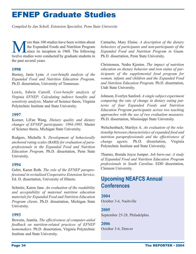# EFNEP Graduate Studies

*Compiled by Jan Scholl, Extension Specialist, Penn State University*

We over than 100 studies have been written about<br>the Expanded Foods and Nutrition Program<br>since its inception in 1968. The following the Expanded Foods and Nutrition Program since its inception in 1968. The following twelve studies were conducted by graduate students in the past several years.

#### **1998**

Burney, Janie Lynn. *A cost-benefit analysis of the Expanded Food and Nutrition Education Program*. Ph.D. dissertation, University of Tennessee.

Lewis, Edwin Carroll. *Cost-benefit analysis of Virginia EFNEP: Calculating indirect benefits and sensitivity analysis*. Master of Science thesis, Virginia Polytechnic Institute and State University.

#### **1997**

Koener, LiFan Wang. *Dietary quality and dietary changes of EFNEP participants: 1994-1995*. Master of Science thesis, Michigan State University.

Rodgers, Michelle S. *Development of behaviorally anchored rating scales (BARS) for evaluation of paraprofessionals in the Expanded Food and Nutrition Education Program.* Ph.D. dissertation, Penn State University.

#### **1994**

Gehrt, Karen Roth. *The role of the EFNEP paraprofessional in revitalized Cooperative Extension Service*. Ed. D. dissertation, University of Illinois.

Schmitz, Karen Jane. *An evaluation of the readability and acceptability of maternal nutrition education materials for Expanded Food and Nutrition Education Program clients*. Ph.D. dissertation, Michigan State University.

#### **1993**

Bowens, Juanita. *The effectiveness of computer-aided feedback on nutrition-related practices of EFNEP homemakers*. Ph.D. dissertation, Virginia Polytechnic Institute and State University.

Camacho, Mary Elaine. *A description of the dietary behaviors of participants and non-participants of the Expanded Food and Nutrition Program in Guam*. Ph.D. dissertation, Penn State University.

Christensen, Nedra Kjesten. *The impact of nutrition education on dietary behavior and iron status of participants of the supplemental food program for women, infants and children and the Expanded Food and Nutrition Education Program*. Ph.D. dissertation, Utah State University.

Johnson, Everlyn Sanford. *A single subject experiment comparing the rate of change in dietary eating patterns of four Expanded Foods and Nutrition Education Program participants across two teaching approaches with the use of two evaluation measures*. Ph.D. dissertation, Mississippi State University.

Welschenbach, Marilyn A. *An evaluation of the relationship between characteristics of expanded food and nutrition paraprofessionals and the effectiveness of change agents.* Ph.D. dissertation, Virginia Polytechnic Institute and State University.

Thames, Brenda Joyce Jumper*. Job burn-out: A study of Expanded Food and Nutrition Education Program professionals in South Carolina*. EDD dissertation, Clemson University.

## **Upcoming NEAFCS Annual Conferences**

**2004** October 3-6, Nashville

#### **2005**

September 25-28, Philadelphia

**2006** October 3-6, Denver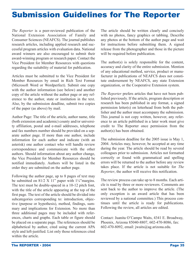## Submission Guidelines for The Reporter

*The Reporter* is a peer-reviewed publication of the National Extension Association of Family and Consumer Sciences (NEAFCS). The journal publishes research articles, including applied research and successful program articles with evaluation data. National award winners are also encouraged to submit their award-winning program or research paper. Contact the Vice President for Member Resources with questions regarding the suitability of material for publication.

Articles must be submitted to the Vice President for Member Resources by email in Rich Text Format (Microsoft Word or Wordperfect). Submit one copy with the author information (see below) and another copy of the article without the author page or any reference to the author, state or institution in the text. Also, by the submission deadline, submit two copies of the paper (as above) by mail.

Author Page: The title of the article, author name, title (both extension and academic) county and/or university affiliation, postal and e-mail addresses, telephone and fax numbers number should be provided on a separate author page. If more than one author, include information for each author and indicate (with an asterisk) one author contact who will handle review correspondence and communicate with the other authors. Should information about any author change, the Vice President for Member Resources should be notified immediately. Authors will be listed in the order they are submitted on the author page.

Following the author page, up to 8 pages of text may be submitted on 81/2 X 11" paper with  $1\frac{1}{4}$ "margins. The text must be double-spaced in a 10-12 pitch font, with the title of the article appearing at the top of the first page. The text of the article should be divided into subcategories corresponding to: introduction, objective (purpose or hypothesis), method, findings, summary and implications for Extension. No more than three additional pages may be included with references, charts and graphs. Each table or figure should be placed on a separate page. The references should be alphabetical by author, cited using the current APA style and left-justified. List only those references cited within the article

The article should be written clearly and concisely with no photos, fancy graphics or tabbing. Describe any photos at the bottom of the author page and wait for instructions before submitting them. A signed release from the photographer and those in the picture will be required before publication.

The author(s) is solely responsible for the content, accuracy and clarity of the entire submission. Mention of any educational method, service, product or manufacturer in publications of NEAFCS does not constitute endorsement by NEAFCS, any state Extension organization, or the Cooperative Extension system.

*The Reporter* prefers articles that have not been published previously. If the article, program description or research has been published in any format, a signed permission letter(s) on letterhead from both the publisher and the author must accompany the submission. This journal is not copy written, however, any reference to an article published in a later work must give credit to The Reporter once permission from the author(s) has been obtained.

The submission deadline for the 2005 issue is May 1, 2004. Articles may, however, be accepted at any time during the year. The article should be read by several colleagues prior to submission. Articles not formatted correctly or found with grammatical and spelling errors will be returned to the author before any review takes place. If the article is not suitable for *The Reporter*, the author will receive this notification.

The review process can take up to 8 months. Each article is read by three or more reviewers. Comments are sent back to the author to improve the article. (The only exception is an award article that has been reviewed by a national committee.) This process continues until the article is ready for publications. Following the review, all articles are edited.

Contact: Juanita O'Campo Waits, 4341 E. Broadway, Phoenix, Arizona 85040-8807, 602-470-8086, fax: 602-470-8092, email: jwaits@ag.arizona.edu.